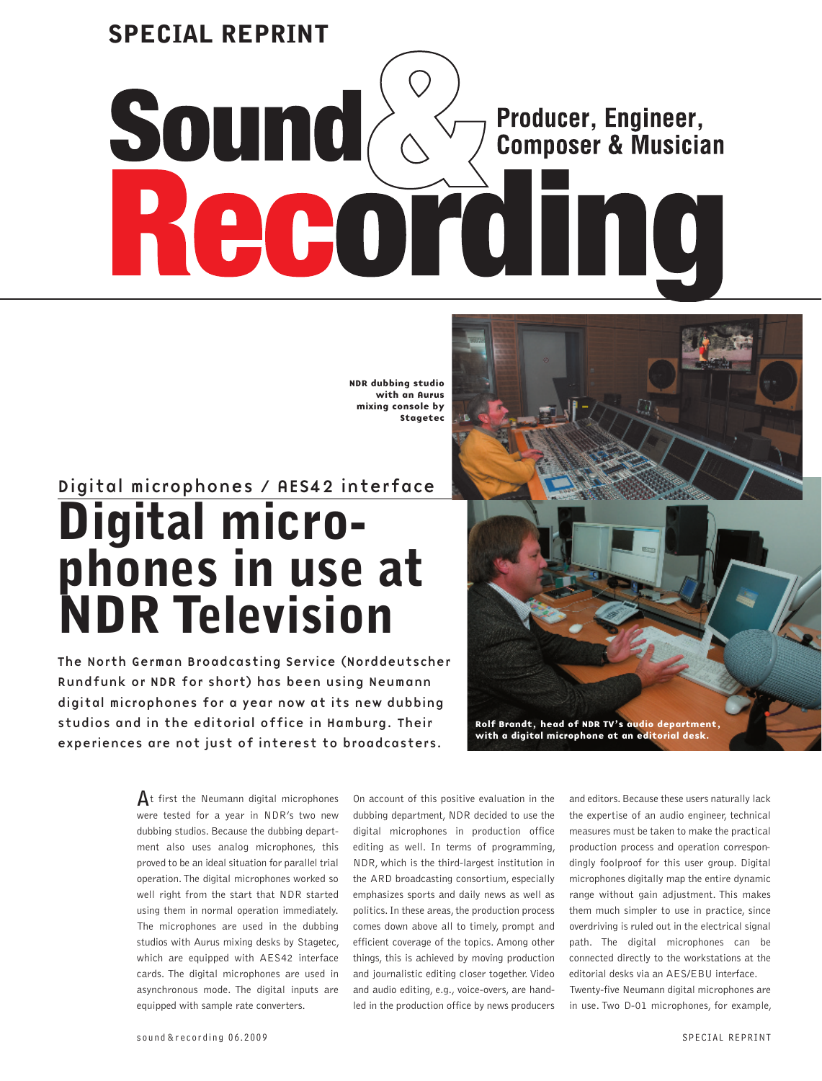# **SPECIAL REPRINTSound &** Producer, Engineer, **Composer & Musician** Record  $\blacksquare$ I

NDR dubbing studio with an Aurus mixing console by Stagetec

# Digital microphones / AES42 interface **Digital microphones in use at NDR Television**

The North German Broadcasting Service (Norddeutscher Rundfunk or NDR for short) has been using Neumann digital microphones for a year now at its new dubbing studios and in the editorial office in Hamburg. Their experiences are not just of interest to broadcasters.



 $\mathbf{A}$ t first the Neumann digital microphones were tested for a year in NDR's two new dubbing studios. Because the dubbing department also uses analog microphones, this proved to be an ideal situation for parallel trial operation. The digital microphones worked so well right from the start that NDR started using them in normal operation immediately. The microphones are used in the dubbing studios with Aurus mixing desks by Stagetec, which are equipped with AES42 interface cards. The digital microphones are used in asynchronous mode. The digital inputs are equipped with sample rate converters.

On account of this positive evaluation in the dubbing department, NDR decided to use the digital microphones in production office editing as well. In terms of programming, NDR, which is the third-largest institution in the ARD broadcasting consortium, especially emphasizes sports and daily news as well as politics. In these areas, the production process comes down above all to timely, prompt and efficient coverage of the topics. Among other things, this is achieved by moving production and journalistic editing closer together. Video and audio editing, e.g., voice-overs, are handled in the production office by news producers

and editors. Because these users naturally lack the expertise of an audio engineer, technical measures must be taken to make the practical production process and operation correspondingly foolproof for this user group. Digital microphones digitally map the entire dynamic range without gain adjustment. This makes them much simpler to use in practice, since overdriving is ruled out in the electrical signal path. The digital microphones can be connected directly to the workstations at the editorial desks via an AES/EBU interface. Twenty-five Neumann digital microphones are in use. Two D-01 microphones, for example,